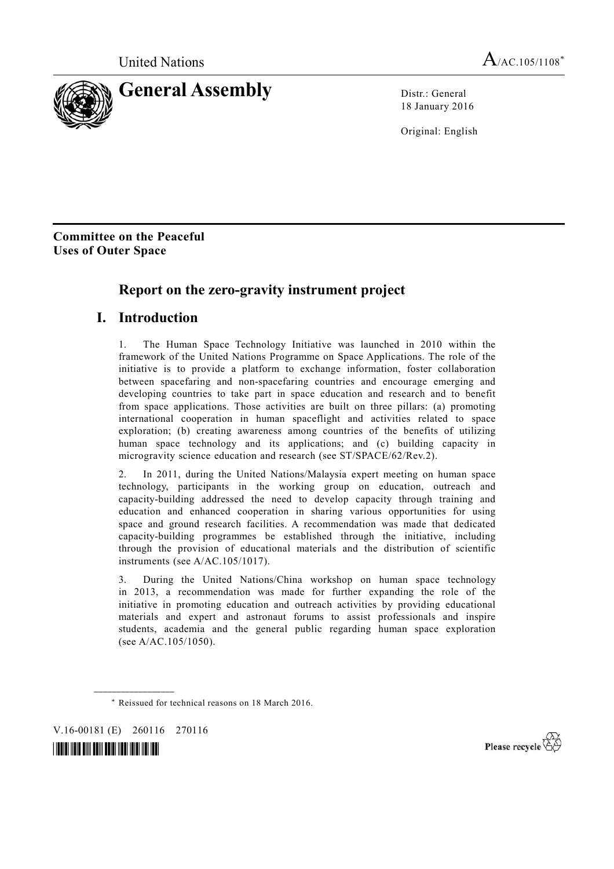

18 January 2016

Original: English

**Committee on the Peaceful Uses of Outer Space\***

## **Report on the zero-gravity instrument project**

## **I. Introduction**

1. The Human Space Technology Initiative was launched in 2010 within the framework of the United Nations Programme on Space Applications. The role of the initiative is to provide a platform to exchange information, foster collaboration between spacefaring and non-spacefaring countries and encourage emerging and developing countries to take part in space education and research and to benefit from space applications. Those activities are built on three pillars: (a) promoting international cooperation in human spaceflight and activities related to space exploration; (b) creating awareness among countries of the benefits of utilizing human space technology and its applications; and (c) building capacity in microgravity science education and research (see ST/SPACE/62/Rev.2).

2. In 2011, during the United Nations/Malaysia expert meeting on human space technology, participants in the working group on education, outreach and capacity-building addressed the need to develop capacity through training and education and enhanced cooperation in sharing various opportunities for using space and ground research facilities. A recommendation was made that dedicated capacity-building programmes be established through the initiative, including through the provision of educational materials and the distribution of scientific instruments (see A/AC.105/1017).

3. During the United Nations/China workshop on human space technology in 2013, a recommendation was made for further expanding the role of the initiative in promoting education and outreach activities by providing educational materials and expert and astronaut forums to assist professionals and inspire students, academia and the general public regarding human space exploration (see A/AC.105/1050).

V.16-00181 (E) 260116 270116

**\_\_\_\_\_\_\_\_\_\_\_\_\_\_\_\_\_\_** 

*\*1600181\** 



 <sup>\*</sup> Reissued for technical reasons on 18 March 2016.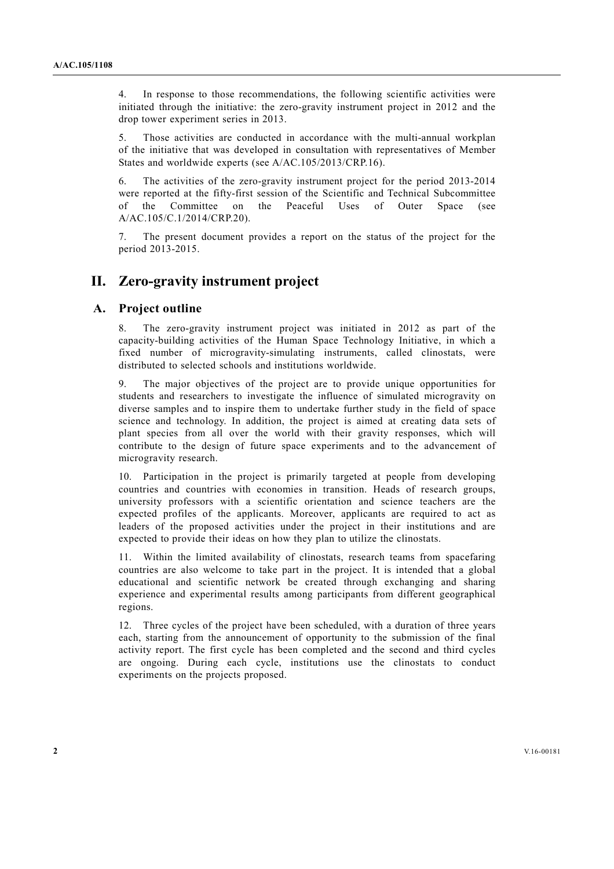4. In response to those recommendations, the following scientific activities were initiated through the initiative: the zero-gravity instrument project in 2012 and the drop tower experiment series in 2013.

5. Those activities are conducted in accordance with the multi-annual workplan of the initiative that was developed in consultation with representatives of Member States and worldwide experts (see A/AC.105/2013/CRP.16).

6. The activities of the zero-gravity instrument project for the period 2013-2014 were reported at the fifty-first session of the Scientific and Technical Subcommittee of the Committee on the Peaceful Uses of Outer Space (see A/AC.105/C.1/2014/CRP.20).

The present document provides a report on the status of the project for the period 2013-2015.

## **II. Zero-gravity instrument project**

### **A. Project outline**

8. The zero-gravity instrument project was initiated in 2012 as part of the capacity-building activities of the Human Space Technology Initiative, in which a fixed number of microgravity-simulating instruments, called clinostats, were distributed to selected schools and institutions worldwide.

9. The major objectives of the project are to provide unique opportunities for students and researchers to investigate the influence of simulated microgravity on diverse samples and to inspire them to undertake further study in the field of space science and technology. In addition, the project is aimed at creating data sets of plant species from all over the world with their gravity responses, which will contribute to the design of future space experiments and to the advancement of microgravity research.

10. Participation in the project is primarily targeted at people from developing countries and countries with economies in transition. Heads of research groups, university professors with a scientific orientation and science teachers are the expected profiles of the applicants. Moreover, applicants are required to act as leaders of the proposed activities under the project in their institutions and are expected to provide their ideas on how they plan to utilize the clinostats.

11. Within the limited availability of clinostats, research teams from spacefaring countries are also welcome to take part in the project. It is intended that a global educational and scientific network be created through exchanging and sharing experience and experimental results among participants from different geographical regions.

12. Three cycles of the project have been scheduled, with a duration of three years each, starting from the announcement of opportunity to the submission of the final activity report. The first cycle has been completed and the second and third cycles are ongoing. During each cycle, institutions use the clinostats to conduct experiments on the projects proposed.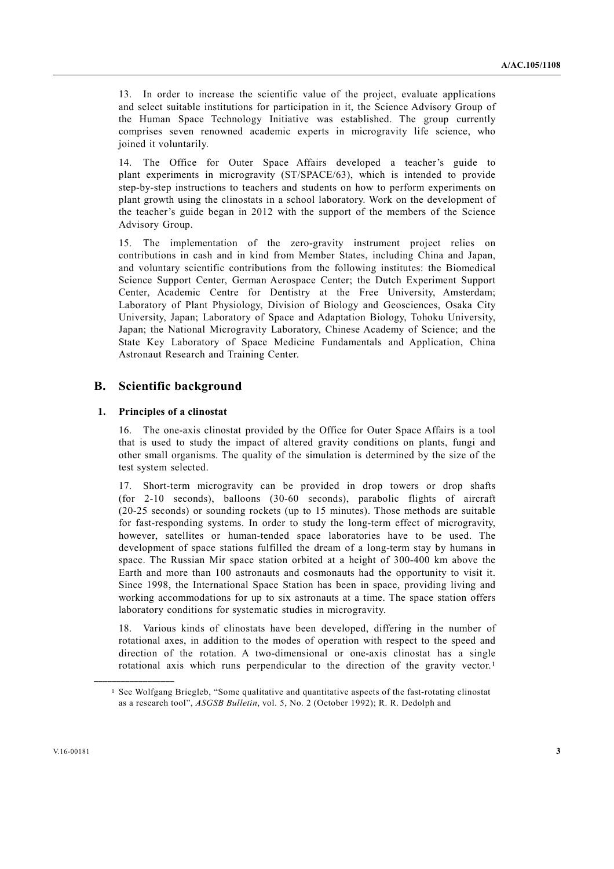13. In order to increase the scientific value of the project, evaluate applications and select suitable institutions for participation in it, the Science Advisory Group of the Human Space Technology Initiative was established. The group currently comprises seven renowned academic experts in microgravity life science, who joined it voluntarily.

14. The Office for Outer Space Affairs developed a teacher's guide to plant experiments in microgravity (ST/SPACE/63), which is intended to provide step-by-step instructions to teachers and students on how to perform experiments on plant growth using the clinostats in a school laboratory. Work on the development of the teacher's guide began in 2012 with the support of the members of the Science Advisory Group.

15. The implementation of the zero-gravity instrument project relies on contributions in cash and in kind from Member States, including China and Japan, and voluntary scientific contributions from the following institutes: the Biomedical Science Support Center, German Aerospace Center; the Dutch Experiment Support Center, Academic Centre for Dentistry at the Free University, Amsterdam; Laboratory of Plant Physiology, Division of Biology and Geosciences, Osaka City University, Japan; Laboratory of Space and Adaptation Biology, Tohoku University, Japan; the National Microgravity Laboratory, Chinese Academy of Science; and the State Key Laboratory of Space Medicine Fundamentals and Application, China Astronaut Research and Training Center.

#### **B. Scientific background**

#### **1. Principles of a clinostat**

16. The one-axis clinostat provided by the Office for Outer Space Affairs is a tool that is used to study the impact of altered gravity conditions on plants, fungi and other small organisms. The quality of the simulation is determined by the size of the test system selected.

17. Short-term microgravity can be provided in drop towers or drop shafts (for 2-10 seconds), balloons (30-60 seconds), parabolic flights of aircraft (20-25 seconds) or sounding rockets (up to 15 minutes). Those methods are suitable for fast-responding systems. In order to study the long-term effect of microgravity, however, satellites or human-tended space laboratories have to be used. The development of space stations fulfilled the dream of a long-term stay by humans in space. The Russian Mir space station orbited at a height of 300-400 km above the Earth and more than 100 astronauts and cosmonauts had the opportunity to visit it. Since 1998, the International Space Station has been in space, providing living and working accommodations for up to six astronauts at a time. The space station offers laboratory conditions for systematic studies in microgravity.

18. Various kinds of clinostats have been developed, differing in the number of rotational axes, in addition to the modes of operation with respect to the speed and direction of the rotation. A two-dimensional or one-axis clinostat has a single rotational axis which runs perpendicular to the direction of the gravity vector.<sup>1</sup>

**\_\_\_\_\_\_\_\_\_\_\_\_\_\_\_\_\_\_** 

<sup>1</sup> See Wolfgang Briegleb, "Some qualitative and quantitative aspects of the fast-rotating clinostat as a research tool", *ASGSB Bulletin*, vol. 5, No. 2 (October 1992); R. R. Dedolph and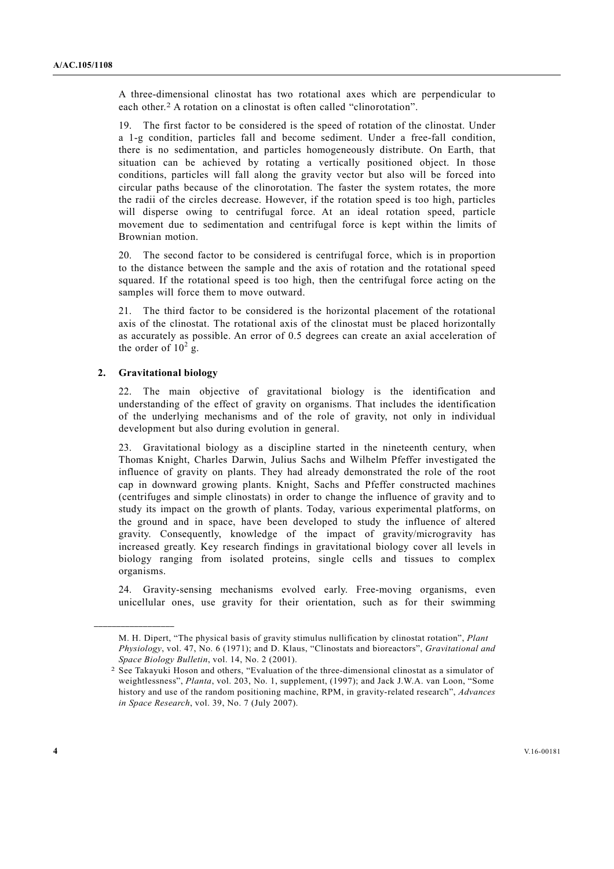A three-dimensional clinostat has two rotational axes which are perpendicular to each other.2 A rotation on a clinostat is often called "clinorotation".

19. The first factor to be considered is the speed of rotation of the clinostat. Under a 1-g condition, particles fall and become sediment. Under a free-fall condition, there is no sedimentation, and particles homogeneously distribute. On Earth, that situation can be achieved by rotating a vertically positioned object. In those conditions, particles will fall along the gravity vector but also will be forced into circular paths because of the clinorotation. The faster the system rotates, the more the radii of the circles decrease. However, if the rotation speed is too high, particles will disperse owing to centrifugal force. At an ideal rotation speed, particle movement due to sedimentation and centrifugal force is kept within the limits of Brownian motion.

20. The second factor to be considered is centrifugal force, which is in proportion to the distance between the sample and the axis of rotation and the rotational speed squared. If the rotational speed is too high, then the centrifugal force acting on the samples will force them to move outward.

21. The third factor to be considered is the horizontal placement of the rotational axis of the clinostat. The rotational axis of the clinostat must be placed horizontally as accurately as possible. An error of 0.5 degrees can create an axial acceleration of the order of  $10^2$  g.

#### **2. Gravitational biology**

**\_\_\_\_\_\_\_\_\_\_\_\_\_\_\_\_\_\_** 

22. The main objective of gravitational biology is the identification and understanding of the effect of gravity on organisms. That includes the identification of the underlying mechanisms and of the role of gravity, not only in individual development but also during evolution in general.

23. Gravitational biology as a discipline started in the nineteenth century, when Thomas Knight, Charles Darwin, Julius Sachs and Wilhelm Pfeffer investigated the influence of gravity on plants. They had already demonstrated the role of the root cap in downward growing plants. Knight, Sachs and Pfeffer constructed machines (centrifuges and simple clinostats) in order to change the influence of gravity and to study its impact on the growth of plants. Today, various experimental platforms, on the ground and in space, have been developed to study the influence of altered gravity. Consequently, knowledge of the impact of gravity/microgravity has increased greatly. Key research findings in gravitational biology cover all levels in biology ranging from isolated proteins, single cells and tissues to complex organisms.

24. Gravity-sensing mechanisms evolved early. Free-moving organisms, even unicellular ones, use gravity for their orientation, such as for their swimming

M. H. Dipert, "The physical basis of gravity stimulus nullification by clinostat rotation", *Plant Physiology*, vol. 47, No. 6 (1971); and D. Klaus, "Clinostats and bioreactors", *Gravitational and Space Biology Bulletin*, vol. 14, No. 2 (2001).

<sup>2</sup> See Takayuki Hoson and others, "Evaluation of the three-dimensional clinostat as a simulator of weightlessness", *Planta*, vol. 203, No. 1, supplement, (1997); and Jack J.W.A. van Loon, "Some history and use of the random positioning machine, RPM, in gravity-related research", *Advances in Space Research*, vol. 39, No. 7 (July 2007).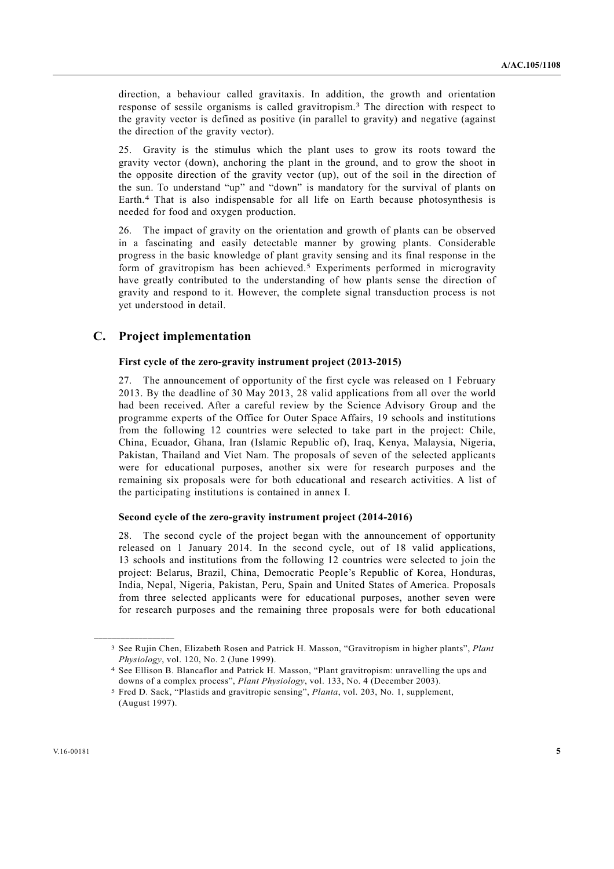direction, a behaviour called gravitaxis. In addition, the growth and orientation response of sessile organisms is called gravitropism.3 The direction with respect to the gravity vector is defined as positive (in parallel to gravity) and negative (against the direction of the gravity vector).

25. Gravity is the stimulus which the plant uses to grow its roots toward the gravity vector (down), anchoring the plant in the ground, and to grow the shoot in the opposite direction of the gravity vector (up), out of the soil in the direction of the sun. To understand "up" and "down" is mandatory for the survival of plants on Earth.4 That is also indispensable for all life on Earth because photosynthesis is needed for food and oxygen production.

26. The impact of gravity on the orientation and growth of plants can be observed in a fascinating and easily detectable manner by growing plants. Considerable progress in the basic knowledge of plant gravity sensing and its final response in the form of gravitropism has been achieved.<sup>5</sup> Experiments performed in microgravity have greatly contributed to the understanding of how plants sense the direction of gravity and respond to it. However, the complete signal transduction process is not yet understood in detail.

### **C. Project implementation**

#### **First cycle of the zero-gravity instrument project (2013-2015)**

27. The announcement of opportunity of the first cycle was released on 1 February 2013. By the deadline of 30 May 2013, 28 valid applications from all over the world had been received. After a careful review by the Science Advisory Group and the programme experts of the Office for Outer Space Affairs, 19 schools and institutions from the following 12 countries were selected to take part in the project: Chile, China, Ecuador, Ghana, Iran (Islamic Republic of), Iraq, Kenya, Malaysia, Nigeria, Pakistan, Thailand and Viet Nam. The proposals of seven of the selected applicants were for educational purposes, another six were for research purposes and the remaining six proposals were for both educational and research activities. A list of the participating institutions is contained in annex I.

#### **Second cycle of the zero-gravity instrument project (2014-2016)**

28. The second cycle of the project began with the announcement of opportunity released on 1 January 2014. In the second cycle, out of 18 valid applications, 13 schools and institutions from the following 12 countries were selected to join the project: Belarus, Brazil, China, Democratic People's Republic of Korea, Honduras, India, Nepal, Nigeria, Pakistan, Peru, Spain and United States of America. Proposals from three selected applicants were for educational purposes, another seven were for research purposes and the remaining three proposals were for both educational

**\_\_\_\_\_\_\_\_\_\_\_\_\_\_\_\_\_\_** 

<sup>3</sup> See Rujin Chen, Elizabeth Rosen and Patrick H. Masson, "Gravitropism in higher plants", *Plant Physiology*, vol. 120, No. 2 (June 1999).

<sup>4</sup> See Ellison B. Blancaflor and Patrick H. Masson, "Plant gravitropism: unravelling the ups and downs of a complex process", *Plant Physiology*, vol. 133, No. 4 (December 2003).

<sup>5</sup> Fred D. Sack, "Plastids and gravitropic sensing", *Planta*, vol. 203, No. 1, supplement, (August 1997).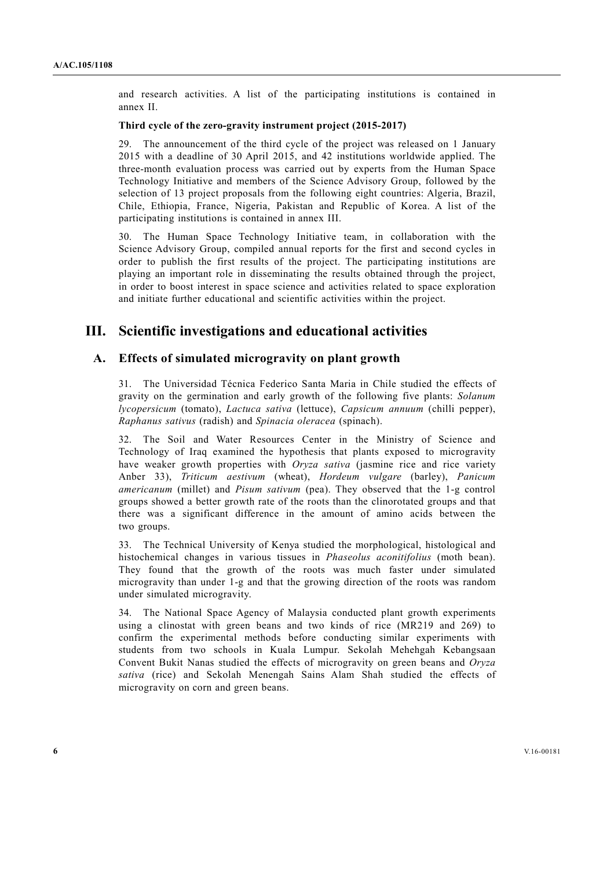and research activities. A list of the participating institutions is contained in annex II.

#### **Third cycle of the zero-gravity instrument project (2015-2017)**

29. The announcement of the third cycle of the project was released on 1 January 2015 with a deadline of 30 April 2015, and 42 institutions worldwide applied. The three-month evaluation process was carried out by experts from the Human Space Technology Initiative and members of the Science Advisory Group, followed by the selection of 13 project proposals from the following eight countries: Algeria, Brazil, Chile, Ethiopia, France, Nigeria, Pakistan and Republic of Korea. A list of the participating institutions is contained in annex III.

30. The Human Space Technology Initiative team, in collaboration with the Science Advisory Group, compiled annual reports for the first and second cycles in order to publish the first results of the project. The participating institutions are playing an important role in disseminating the results obtained through the project, in order to boost interest in space science and activities related to space exploration and initiate further educational and scientific activities within the project.

### **III. Scientific investigations and educational activities**

### **A. Effects of simulated microgravity on plant growth**

31. The Universidad Técnica Federico Santa Maria in Chile studied the effects of gravity on the germination and early growth of the following five plants: *Solanum lycopersicum* (tomato), *Lactuca sativa* (lettuce), *Capsicum annuum* (chilli pepper), *Raphanus sativus* (radish) and *Spinacia oleracea* (spinach).

32. The Soil and Water Resources Center in the Ministry of Science and Technology of Iraq examined the hypothesis that plants exposed to microgravity have weaker growth properties with *Oryza sativa* (jasmine rice and rice variety Anber 33), *Triticum aestivum* (wheat), *Hordeum vulgare* (barley), *Panicum americanum* (millet) and *Pisum sativum* (pea). They observed that the 1-g control groups showed a better growth rate of the roots than the clinorotated groups and that there was a significant difference in the amount of amino acids between the two groups.

33. The Technical University of Kenya studied the morphological, histological and histochemical changes in various tissues in *Phaseolus aconitifolius* (moth bean). They found that the growth of the roots was much faster under simulated microgravity than under 1-g and that the growing direction of the roots was random under simulated microgravity.

34. The National Space Agency of Malaysia conducted plant growth experiments using a clinostat with green beans and two kinds of rice (MR219 and 269) to confirm the experimental methods before conducting similar experiments with students from two schools in Kuala Lumpur. Sekolah Mehehgah Kebangsaan Convent Bukit Nanas studied the effects of microgravity on green beans and *Oryza sativa* (rice) and Sekolah Menengah Sains Alam Shah studied the effects of microgravity on corn and green beans.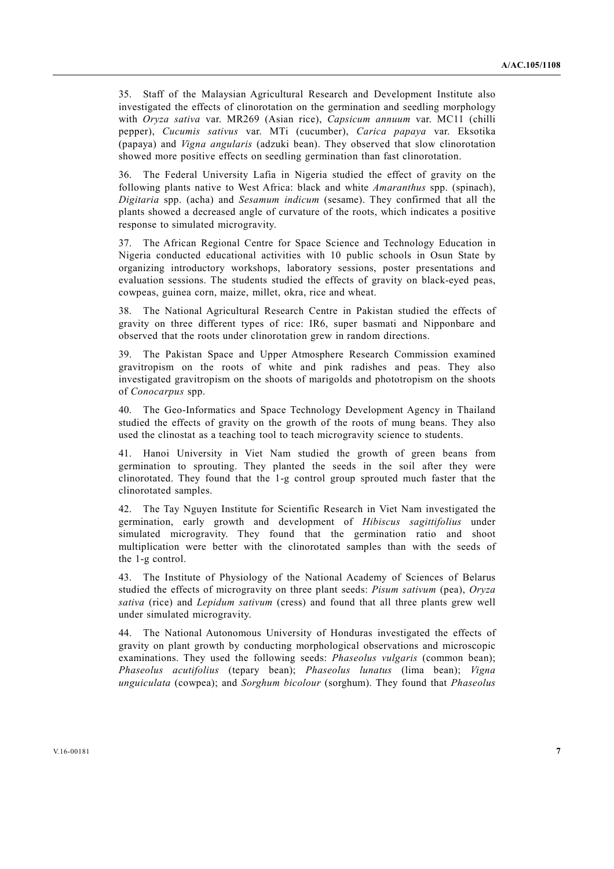35. Staff of the Malaysian Agricultural Research and Development Institute also investigated the effects of clinorotation on the germination and seedling morphology with *Oryza sativa* var. MR269 (Asian rice), *Capsicum annuum* var. MC11 (chilli pepper), *Cucumis sativus* var. MTi (cucumber), *Carica papaya* var. Eksotika (papaya) and *Vigna angularis* (adzuki bean). They observed that slow clinorotation showed more positive effects on seedling germination than fast clinorotation.

36. The Federal University Lafia in Nigeria studied the effect of gravity on the following plants native to West Africa: black and white *Amaranthus* spp. (spinach), *Digitaria* spp. (acha) and *Sesamum indicum* (sesame). They confirmed that all the plants showed a decreased angle of curvature of the roots, which indicates a positive response to simulated microgravity.

37. The African Regional Centre for Space Science and Technology Education in Nigeria conducted educational activities with 10 public schools in Osun State by organizing introductory workshops, laboratory sessions, poster presentations and evaluation sessions. The students studied the effects of gravity on black-eyed peas, cowpeas, guinea corn, maize, millet, okra, rice and wheat.

38. The National Agricultural Research Centre in Pakistan studied the effects of gravity on three different types of rice: IR6, super basmati and Nipponbare and observed that the roots under clinorotation grew in random directions.

39. The Pakistan Space and Upper Atmosphere Research Commission examined gravitropism on the roots of white and pink radishes and peas. They also investigated gravitropism on the shoots of marigolds and phototropism on the shoots of *Conocarpus* spp.

40. The Geo-Informatics and Space Technology Development Agency in Thailand studied the effects of gravity on the growth of the roots of mung beans. They also used the clinostat as a teaching tool to teach microgravity science to students.

41. Hanoi University in Viet Nam studied the growth of green beans from germination to sprouting. They planted the seeds in the soil after they were clinorotated. They found that the 1-g control group sprouted much faster that the clinorotated samples.

42. The Tay Nguyen Institute for Scientific Research in Viet Nam investigated the germination, early growth and development of *Hibiscus sagittifolius* under simulated microgravity. They found that the germination ratio and shoot multiplication were better with the clinorotated samples than with the seeds of the 1-g control.

43. The Institute of Physiology of the National Academy of Sciences of Belarus studied the effects of microgravity on three plant seeds: *Pisum sativum* (pea), *Oryza sativa* (rice) and *Lepidum sativum* (cress) and found that all three plants grew well under simulated microgravity.

44. The National Autonomous University of Honduras investigated the effects of gravity on plant growth by conducting morphological observations and microscopic examinations. They used the following seeds: *Phaseolus vulgaris* (common bean); *Phaseolus acutifolius* (tepary bean); *Phaseolus lunatus* (lima bean); *Vigna unguiculata* (cowpea); and *Sorghum bicolour* (sorghum). They found that *Phaseolus*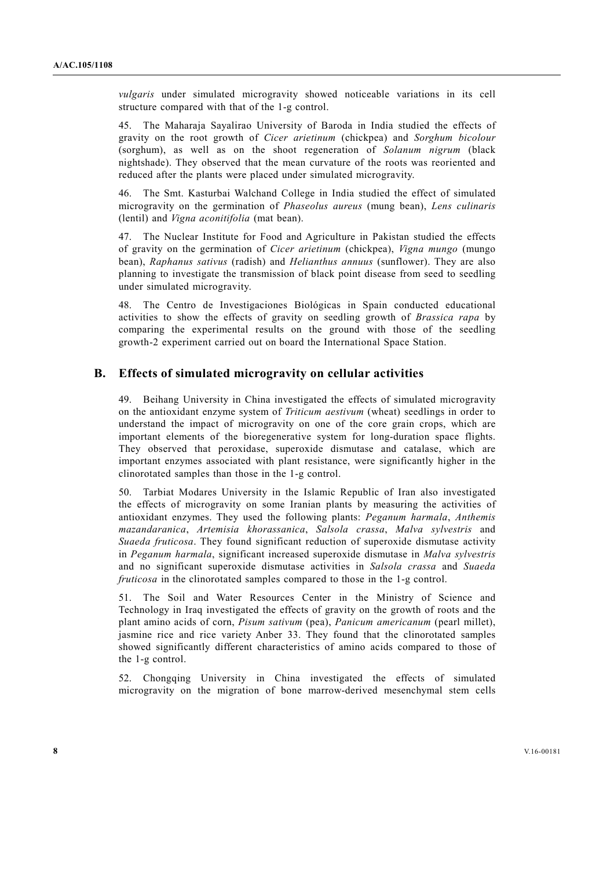*vulgaris* under simulated microgravity showed noticeable variations in its cell structure compared with that of the 1-g control.

45. The Maharaja Sayalirao University of Baroda in India studied the effects of gravity on the root growth of *Cicer arietinum* (chickpea) and *Sorghum bicolour* (sorghum), as well as on the shoot regeneration of *Solanum nigrum* (black nightshade). They observed that the mean curvature of the roots was reoriented and reduced after the plants were placed under simulated microgravity.

46. The Smt. Kasturbai Walchand College in India studied the effect of simulated microgravity on the germination of *Phaseolus aureus* (mung bean), *Lens culinaris* (lentil) and *Vigna aconitifolia* (mat bean).

47. The Nuclear Institute for Food and Agriculture in Pakistan studied the effects of gravity on the germination of *Cicer arietinum* (chickpea), *Vigna mungo* (mungo bean), *Raphanus sativus* (radish) and *Helianthus annuus* (sunflower). They are also planning to investigate the transmission of black point disease from seed to seedling under simulated microgravity.

48. The Centro de Investigaciones Biológicas in Spain conducted educational activities to show the effects of gravity on seedling growth of *Brassica rapa* by comparing the experimental results on the ground with those of the seedling growth-2 experiment carried out on board the International Space Station.

### **B. Effects of simulated microgravity on cellular activities**

49. Beihang University in China investigated the effects of simulated microgravity on the antioxidant enzyme system of *Triticum aestivum* (wheat) seedlings in order to understand the impact of microgravity on one of the core grain crops, which are important elements of the bioregenerative system for long-duration space flights. They observed that peroxidase, superoxide dismutase and catalase, which are important enzymes associated with plant resistance, were significantly higher in the clinorotated samples than those in the 1-g control.

50. Tarbiat Modares University in the Islamic Republic of Iran also investigated the effects of microgravity on some Iranian plants by measuring the activities of antioxidant enzymes. They used the following plants: *Peganum harmala*, *Anthemis mazandaranica*, *Artemisia khorassanica*, *Salsola crassa*, *Malva sylvestris* and *Suaeda fruticosa*. They found significant reduction of superoxide dismutase activity in *Peganum harmala*, significant increased superoxide dismutase in *Malva sylvestris* and no significant superoxide dismutase activities in *Salsola crassa* and *Suaeda fruticosa* in the clinorotated samples compared to those in the 1-g control.

51. The Soil and Water Resources Center in the Ministry of Science and Technology in Iraq investigated the effects of gravity on the growth of roots and the plant amino acids of corn, *Pisum sativum* (pea), *Panicum americanum* (pearl millet), jasmine rice and rice variety Anber 33. They found that the clinorotated samples showed significantly different characteristics of amino acids compared to those of the 1-g control.

52. Chongqing University in China investigated the effects of simulated microgravity on the migration of bone marrow-derived mesenchymal stem cells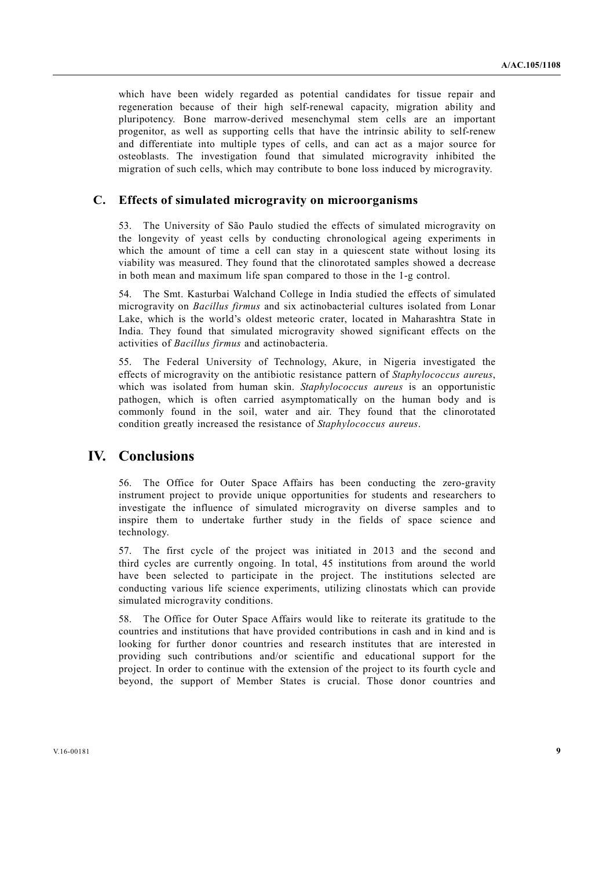which have been widely regarded as potential candidates for tissue repair and regeneration because of their high self-renewal capacity, migration ability and pluripotency. Bone marrow-derived mesenchymal stem cells are an important progenitor, as well as supporting cells that have the intrinsic ability to self-renew and differentiate into multiple types of cells, and can act as a major source for osteoblasts. The investigation found that simulated microgravity inhibited the migration of such cells, which may contribute to bone loss induced by microgravity.

### **C. Effects of simulated microgravity on microorganisms**

53. The University of São Paulo studied the effects of simulated microgravity on the longevity of yeast cells by conducting chronological ageing experiments in which the amount of time a cell can stay in a quiescent state without losing its viability was measured. They found that the clinorotated samples showed a decrease in both mean and maximum life span compared to those in the 1-g control.

54. The Smt. Kasturbai Walchand College in India studied the effects of simulated microgravity on *Bacillus firmus* and six actinobacterial cultures isolated from Lonar Lake, which is the world's oldest meteoric crater, located in Maharashtra State in India. They found that simulated microgravity showed significant effects on the activities of *Bacillus firmus* and actinobacteria.

55. The Federal University of Technology, Akure, in Nigeria investigated the effects of microgravity on the antibiotic resistance pattern of *Staphylococcus aureus*, which was isolated from human skin. *Staphylococcus aureus* is an opportunistic pathogen, which is often carried asymptomatically on the human body and is commonly found in the soil, water and air. They found that the clinorotated condition greatly increased the resistance of *Staphylococcus aureus*.

### **IV. Conclusions**

56. The Office for Outer Space Affairs has been conducting the zero-gravity instrument project to provide unique opportunities for students and researchers to investigate the influence of simulated microgravity on diverse samples and to inspire them to undertake further study in the fields of space science and technology.

57. The first cycle of the project was initiated in 2013 and the second and third cycles are currently ongoing. In total, 45 institutions from around the world have been selected to participate in the project. The institutions selected are conducting various life science experiments, utilizing clinostats which can provide simulated microgravity conditions.

58. The Office for Outer Space Affairs would like to reiterate its gratitude to the countries and institutions that have provided contributions in cash and in kind and is looking for further donor countries and research institutes that are interested in providing such contributions and/or scientific and educational support for the project. In order to continue with the extension of the project to its fourth cycle and beyond, the support of Member States is crucial. Those donor countries and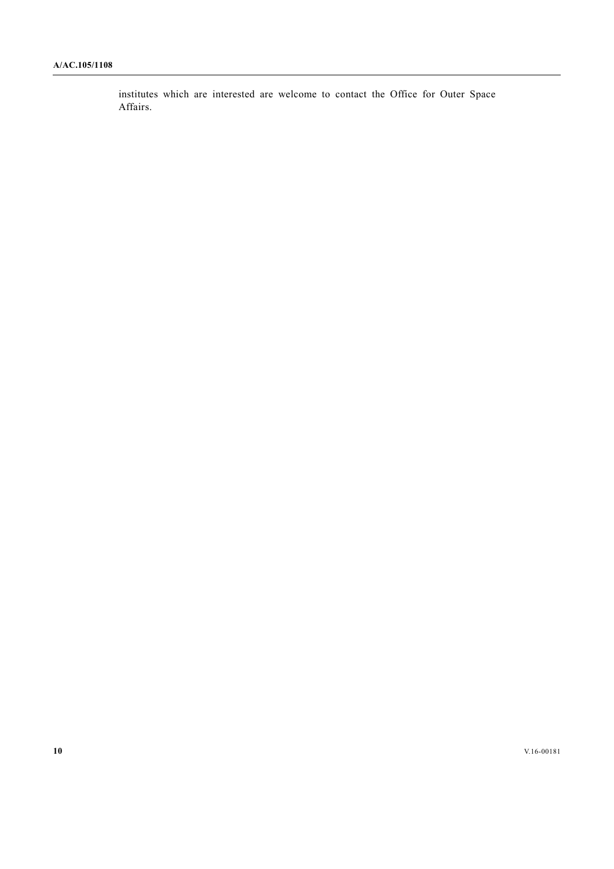institutes which are interested are welcome to contact the Office for Outer Space Affairs.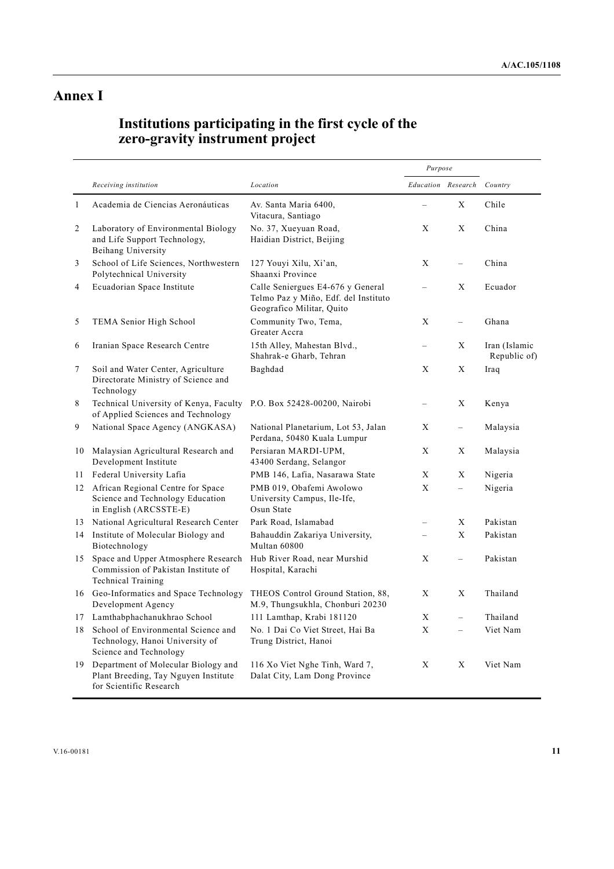# **Annex I**

# **Institutions participating in the first cycle of the zero-gravity instrument project**

|    |                                                                                                         |                                                                                                        | Purpose                  |                          |                               |
|----|---------------------------------------------------------------------------------------------------------|--------------------------------------------------------------------------------------------------------|--------------------------|--------------------------|-------------------------------|
|    | Receiving institution                                                                                   | Location                                                                                               | Education Research       |                          | Country                       |
| 1  | Academia de Ciencias Aeronáuticas                                                                       | Av. Santa Maria 6400,<br>Vitacura, Santiago                                                            |                          | X                        | Chile                         |
| 2  | Laboratory of Environmental Biology<br>and Life Support Technology,<br>Beihang University               | No. 37, Xueyuan Road,<br>Haidian District, Beijing                                                     | X                        | X                        | China                         |
| 3  | School of Life Sciences, Northwestern<br>Polytechnical University                                       | 127 Youyi Xilu, Xi'an,<br>Shaanxi Province                                                             | X                        | $\overline{\phantom{0}}$ | China                         |
| 4  | Ecuadorian Space Institute                                                                              | Calle Seniergues E4-676 y General<br>Telmo Paz y Miño, Edf. del Instituto<br>Geografico Militar, Quito | $\equiv$                 | X                        | Ecuador                       |
| 5  | TEMA Senior High School                                                                                 | Community Two, Tema,<br>Greater Accra                                                                  | X                        | $\equiv$                 | Ghana                         |
| 6  | Iranian Space Research Centre                                                                           | 15th Alley, Mahestan Blvd.,<br>Shahrak-e Gharb, Tehran                                                 |                          | X                        | Iran (Islamic<br>Republic of) |
| 7  | Soil and Water Center, Agriculture<br>Directorate Ministry of Science and<br>Technology                 | Baghdad                                                                                                | X                        | X                        | Iraq                          |
| 8  | Technical University of Kenya, Faculty<br>of Applied Sciences and Technology                            | P.O. Box 52428-00200, Nairobi                                                                          | $\equiv$                 | X                        | Kenya                         |
| 9  | National Space Agency (ANGKASA)                                                                         | National Planetarium, Lot 53, Jalan<br>Perdana, 50480 Kuala Lumpur                                     | X                        |                          | Malaysia                      |
|    | 10 Malaysian Agricultural Research and<br>Development Institute                                         | Persiaran MARDI-UPM,<br>43400 Serdang, Selangor                                                        | X                        | X                        | Malaysia                      |
|    | 11 Federal University Lafia                                                                             | PMB 146, Lafia, Nasarawa State                                                                         | X                        | X                        | Nigeria                       |
|    | 12 African Regional Centre for Space<br>Science and Technology Education<br>in English (ARCSSTE-E)      | PMB 019, Obafemi Awolowo<br>University Campus, Ile-Ife,<br>Osun State                                  | $\mathbf{X}$             | $\equiv$                 | Nigeria                       |
|    | 13 National Agricultural Research Center                                                                | Park Road, Islamabad                                                                                   | $=$                      | X                        | Pakistan                      |
|    | 14 Institute of Molecular Biology and<br>Biotechnology                                                  | Bahauddin Zakariya University,<br>Multan 60800                                                         | $\overline{\phantom{0}}$ | X                        | Pakistan                      |
| 15 | Space and Upper Atmosphere Research<br>Commission of Pakistan Institute of<br><b>Technical Training</b> | Hub River Road, near Murshid<br>Hospital, Karachi                                                      | X                        | $\equiv$                 | Pakistan                      |
|    | 16 Geo-Informatics and Space Technology<br>Development Agency                                           | THEOS Control Ground Station, 88,<br>M.9, Thungsukhla, Chonburi 20230                                  | X                        | X                        | Thailand                      |
| 17 | Lamthabphachanukhrao School                                                                             | 111 Lamthap, Krabi 181120                                                                              | X                        | $\overline{\phantom{0}}$ | Thailand                      |
| 18 | School of Environmental Science and<br>Technology, Hanoi University of<br>Science and Technology        | No. 1 Dai Co Viet Street, Hai Ba<br>Trung District, Hanoi                                              | $\mathbf{X}$             | $\equiv$                 | Viet Nam                      |
| 19 | Department of Molecular Biology and<br>Plant Breeding, Tay Nguyen Institute<br>for Scientific Research  | 116 Xo Viet Nghe Tinh, Ward 7,<br>Dalat City, Lam Dong Province                                        | X                        | X                        | Viet Nam                      |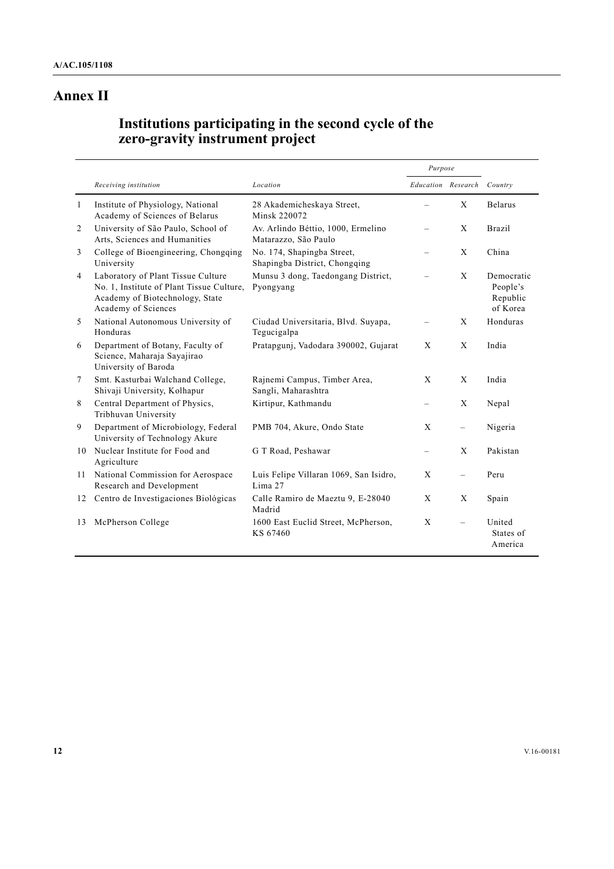# **Annex II**

# **Institutions participating in the second cycle of the zero-gravity instrument project**

|              |                                                                                                                                           |                                                             | Purpose  |                          |                                                |
|--------------|-------------------------------------------------------------------------------------------------------------------------------------------|-------------------------------------------------------------|----------|--------------------------|------------------------------------------------|
|              | Receiving institution                                                                                                                     | Location                                                    |          | Education Research       | Country                                        |
| $\mathbf{1}$ | Institute of Physiology, National<br>Academy of Sciences of Belarus                                                                       | 28 Akademicheskaya Street,<br>Minsk 220072                  |          | X                        | <b>Belarus</b>                                 |
| 2            | University of São Paulo, School of<br>Arts, Sciences and Humanities                                                                       | Av. Arlindo Béttio, 1000, Ermelino<br>Matarazzo, São Paulo  |          | $\mathbf{X}$             | <b>Brazil</b>                                  |
| 3            | College of Bioengineering, Chongqing<br>University                                                                                        | No. 174, Shapingba Street,<br>Shapingba District, Chongqing |          | X                        | China                                          |
| 4            | Laboratory of Plant Tissue Culture<br>No. 1, Institute of Plant Tissue Culture,<br>Academy of Biotechnology, State<br>Academy of Sciences | Munsu 3 dong, Taedongang District,<br>Pyongyang             |          | X                        | Democratic<br>People's<br>Republic<br>of Korea |
| 5            | National Autonomous University of<br>Honduras                                                                                             | Ciudad Universitaria, Blvd. Suyapa,<br>Tegucigalpa          |          | X                        | Honduras                                       |
| 6            | Department of Botany, Faculty of<br>Science, Maharaja Sayajirao<br>University of Baroda                                                   | Pratapgunj, Vadodara 390002, Gujarat                        | X        | X                        | India                                          |
| 7            | Smt. Kasturbai Walchand College,<br>Shivaji University, Kolhapur                                                                          | Rajnemi Campus, Timber Area,<br>Sangli, Maharashtra         | X        | X                        | India                                          |
| 8            | Central Department of Physics,<br>Tribhuvan University                                                                                    | Kirtipur, Kathmandu                                         |          | X                        | Nepal                                          |
| 9            | Department of Microbiology, Federal<br>University of Technology Akure                                                                     | PMB 704, Akure, Ondo State                                  | X        | $\overline{\phantom{0}}$ | Nigeria                                        |
| 10           | Nuclear Institute for Food and<br>Agriculture                                                                                             | G T Road, Peshawar                                          | $\equiv$ | $\mathbf{x}$             | Pakistan                                       |
| 11           | National Commission for Aerospace<br>Research and Development                                                                             | Luis Felipe Villaran 1069, San Isidro,<br>Lima 27           | X        |                          | Peru                                           |
| 12           | Centro de Investigaciones Biológicas                                                                                                      | Calle Ramiro de Maeztu 9, E-28040<br>Madrid                 | X        | X                        | Spain                                          |
| 13           | McPherson College                                                                                                                         | 1600 East Euclid Street, McPherson,<br>KS 67460             | X        |                          | United<br>States of<br>America                 |